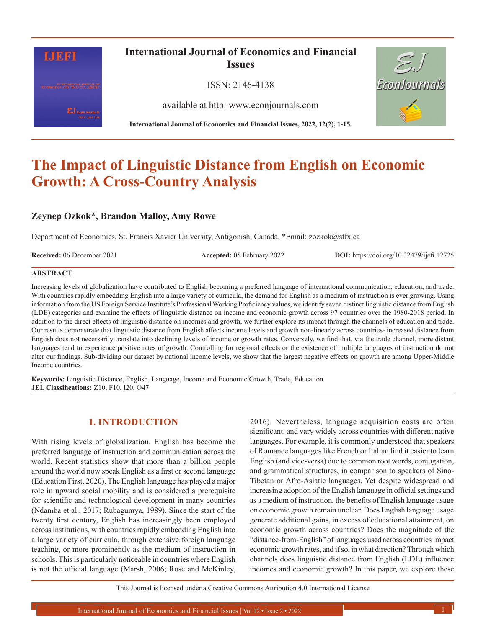

# **International Journal of Economics and Financial Issues**

ISSN: 2146-4138

available at http: www.econjournals.com

**International Journal of Economics and Financial Issues, 2022, 12(2), 1-15.**



# **The Impact of Linguistic Distance from English on Economic Growth: A Cross-Country Analysis**

# **Zeynep Ozkok\*, Brandon Malloy, Amy Rowe**

Department of Economics, St. Francis Xavier University, Antigonish, Canada. \*Email: zozkok@stfx.ca

**Received:** 06 December 2021 **Accepted:** 05 February 2022 **DOI:** https://doi.org/10.32479/ijefi.12725

#### **ABSTRACT**

Increasing levels of globalization have contributed to English becoming a preferred language of international communication, education, and trade. With countries rapidly embedding English into a large variety of curricula, the demand for English as a medium of instruction is ever growing. Using information from the US Foreign Service Institute's Professional Working Proficiency values, we identify seven distinct linguistic distance from English (LDE) categories and examine the effects of linguistic distance on income and economic growth across 97 countries over the 1980-2018 period. In addition to the direct effects of linguistic distance on incomes and growth, we further explore its impact through the channels of education and trade. Our results demonstrate that linguistic distance from English affects income levels and growth non-linearly across countries- increased distance from English does not necessarily translate into declining levels of income or growth rates. Conversely, we find that, via the trade channel, more distant languages tend to experience positive rates of growth. Controlling for regional effects or the existence of multiple languages of instruction do not alter our findings. Sub-dividing our dataset by national income levels, we show that the largest negative effects on growth are among Upper-Middle Income countries.

**Keywords:** Linguistic Distance, English, Language, Income and Economic Growth, Trade, Education **JEL Classifications:** Z10, F10, I20, O47

# **1. INTRODUCTION**

With rising levels of globalization, English has become the preferred language of instruction and communication across the world. Recent statistics show that more than a billion people around the world now speak English as a first or second language (Education First, 2020). The English language has played a major role in upward social mobility and is considered a prerequisite for scientific and technological development in many countries (Ndamba et al., 2017; Rubagumya, 1989). Since the start of the twenty first century, English has increasingly been employed across institutions, with countries rapidly embedding English into a large variety of curricula, through extensive foreign language teaching, or more prominently as the medium of instruction in schools. This is particularly noticeable in countries where English is not the official language (Marsh, 2006; Rose and McKinley,

2016). Nevertheless, language acquisition costs are often significant, and vary widely across countries with different native languages. For example, it is commonly understood that speakers of Romance languages like French or Italian find it easier to learn English (and vice-versa) due to common root words, conjugation, and grammatical structures, in comparison to speakers of Sino-Tibetan or Afro-Asiatic languages. Yet despite widespread and increasing adoption of the English language in official settings and as a medium of instruction, the benefits of English language usage on economic growth remain unclear. Does English language usage generate additional gains, in excess of educational attainment, on economic growth across countries? Does the magnitude of the "distance-from-English" of languages used across countries impact economic growth rates, and if so, in what direction? Through which channels does linguistic distance from English (LDE) influence incomes and economic growth? In this paper, we explore these

This Journal is licensed under a Creative Commons Attribution 4.0 International License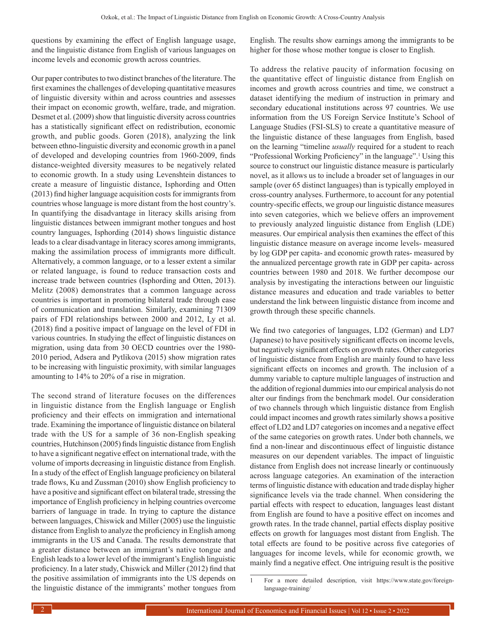questions by examining the effect of English language usage, and the linguistic distance from English of various languages on income levels and economic growth across countries.

Our paper contributes to two distinct branches of the literature. The first examines the challenges of developing quantitative measures of linguistic diversity within and across countries and assesses their impact on economic growth, welfare, trade, and migration. Desmet et al. (2009) show that linguistic diversity across countries has a statistically significant effect on redistribution, economic growth, and public goods. Goren (2018), analyzing the link between ethno-linguistic diversity and economic growth in a panel of developed and developing countries from 1960-2009, finds distance-weighted diversity measures to be negatively related to economic growth. In a study using Levenshtein distances to create a measure of linguistic distance, Isphording and Otten (2013) find higher language acquisition costs for immigrants from countries whose language is more distant from the host country's. In quantifying the disadvantage in literacy skills arising from linguistic distances between immigrant mother tongues and host country languages, Isphording (2014) shows linguistic distance leads to a clear disadvantage in literacy scores among immigrants, making the assimilation process of immigrants more difficult. Alternatively, a common language, or to a lesser extent a similar or related language, is found to reduce transaction costs and increase trade between countries (Isphording and Otten, 2013). Melitz (2008) demonstrates that a common language across countries is important in promoting bilateral trade through ease of communication and translation. Similarly, examining 71309 pairs of FDI relationships between 2000 and 2012, Ly et al. (2018) find a positive impact of language on the level of FDI in various countries. In studying the effect of linguistic distances on migration, using data from 30 OECD countries over the 1980- 2010 period, Adsera and Pytlikova (2015) show migration rates to be increasing with linguistic proximity, with similar languages amounting to 14% to 20% of a rise in migration.

The second strand of literature focuses on the differences in linguistic distance from the English language or English proficiency and their effects on immigration and international trade. Examining the importance of linguistic distance on bilateral trade with the US for a sample of 36 non-English speaking countries, Hutchinson (2005) finds linguistic distance from English to have a significant negative effect on international trade, with the volume of imports decreasing in linguistic distance from English. In a study of the effect of English language proficiency on bilateral trade flows, Ku and Zussman (2010) show English proficiency to have a positive and significant effect on bilateral trade, stressing the importance of English proficiency in helping countries overcome barriers of language in trade. In trying to capture the distance between languages, Chiswick and Miller (2005) use the linguistic distance from English to analyze the proficiency in English among immigrants in the US and Canada. The results demonstrate that a greater distance between an immigrant's native tongue and English leads to a lower level of the immigrant's English linguistic proficiency. In a later study, Chiswick and Miller (2012) find that the positive assimilation of immigrants into the US depends on the linguistic distance of the immigrants' mother tongues from English. The results show earnings among the immigrants to be higher for those whose mother tongue is closer to English.

To address the relative paucity of information focusing on the quantitative effect of linguistic distance from English on incomes and growth across countries and time, we construct a dataset identifying the medium of instruction in primary and secondary educational institutions across 97 countries. We use information from the US Foreign Service Institute's School of Language Studies (FSI-SLS) to create a quantitative measure of the linguistic distance of these languages from English, based on the learning "timeline *usually* required for a student to reach "Professional Working Proficiency" in the language".<sup>1</sup> Using this source to construct our linguistic distance measure is particularly novel, as it allows us to include a broader set of languages in our sample (over 65 distinct languages) than is typically employed in cross-country analyses. Furthermore, to account for any potential country-specific effects, we group our linguistic distance measures into seven categories, which we believe offers an improvement to previously analyzed linguistic distance from English (LDE) measures. Our empirical analysis then examines the effect of this linguistic distance measure on average income levels- measured by log GDP per capita- and economic growth rates- measured by the annualized percentage growth rate in GDP per capita- across countries between 1980 and 2018. We further decompose our analysis by investigating the interactions between our linguistic distance measures and education and trade variables to better understand the link between linguistic distance from income and growth through these specific channels.

We find two categories of languages, LD2 (German) and LD7 (Japanese) to have positively significant effects on income levels, but negatively significant effects on growth rates. Other categories of linguistic distance from English are mainly found to have less significant effects on incomes and growth. The inclusion of a dummy variable to capture multiple languages of instruction and the addition of regional dummies into our empirical analysis do not alter our findings from the benchmark model. Our consideration of two channels through which linguistic distance from English could impact incomes and growth rates similarly shows a positive effect of LD2 and LD7 categories on incomes and a negative effect of the same categories on growth rates. Under both channels, we find a non-linear and discontinuous effect of linguistic distance measures on our dependent variables. The impact of linguistic distance from English does not increase linearly or continuously across language categories. An examination of the interaction terms of linguistic distance with education and trade display higher significance levels via the trade channel. When considering the partial effects with respect to education, languages least distant from English are found to have a positive effect on incomes and growth rates. In the trade channel, partial effects display positive effects on growth for languages most distant from English. The total effects are found to be positive across five categories of languages for income levels, while for economic growth, we mainly find a negative effect. One intriguing result is the positive

<sup>1</sup> For a more detailed description, visit [https://www.state.gov/foreign](https://www.state.gov/foreign-language-training/%20)[language-training/](https://www.state.gov/foreign-language-training/%20)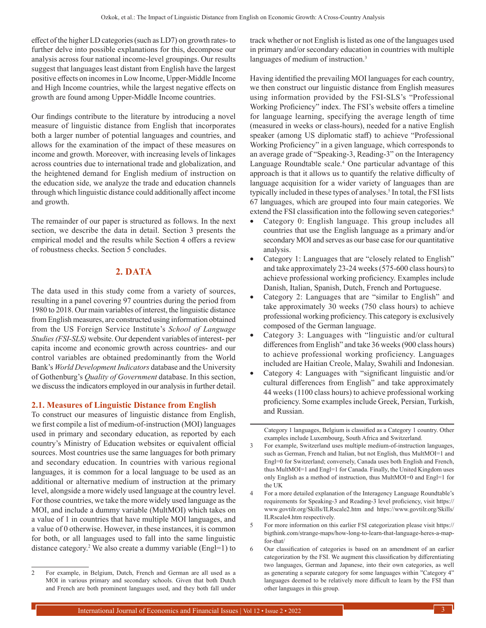effect of the higher LD categories (such as LD7) on growth rates-to further delve into possible explanations for this, decompose our analysis across four national income-level groupings. Our results suggest that languages least distant from English have the largest positive effects on incomes in Low Income, Upper-Middle Income and High Income countries, while the largest negative effects on growth are found among Upper-Middle Income countries.

Our findings contribute to the literature by introducing a novel measure of linguistic distance from English that incorporates both a larger number of potential languages and countries, and allows for the examination of the impact of these measures on income and growth. Moreover, with increasing levels of linkages across countries due to international trade and globalization, and the heightened demand for English medium of instruction on the education side, we analyze the trade and education channels through which linguistic distance could additionally affect income and growth.

The remainder of our paper is structured as follows. In the next section, we describe the data in detail. Section 3 presents the empirical model and the results while Section 4 offers a review of robustness checks. Section 5 concludes.

### **2. DATA**

The data used in this study come from a variety of sources, resulting in a panel covering 97 countries during the period from 1980 to 2018. Our main variables of interest, the linguistic distance from English measures, are constructed using information obtained from the US Foreign Service Institute's *School of Language Studies (FSI-SLS)* website. Our dependent variables of interest- per capita income and economic growth across countries- and our control variables are obtained predominantly from the World Bank's *World Development Indicators* database and the University of Gothenburg's *Quality of Government* database. In this section, we discuss the indicators employed in our analysis in further detail.

#### **2.1. Measures of Linguistic Distance from English**

To construct our measures of linguistic distance from English, we first compile a list of medium-of-instruction (MOI) languages used in primary and secondary education, as reported by each country's Ministry of Education websites or equivalent official sources. Most countries use the same languages for both primary and secondary education. In countries with various regional languages, it is common for a local language to be used as an additional or alternative medium of instruction at the primary level, alongside a more widely used language at the country level. For those countries, we take the more widely used language as the MOI, and include a dummy variable (MultMOI) which takes on a value of 1 in countries that have multiple MOI languages, and a value of 0 otherwise. However, in these instances, it is common for both, or all languages used to fall into the same linguistic distance category.2 We also create a dummy variable (Engl=1) to track whether or not English is listed as one of the languages used in primary and/or secondary education in countries with multiple languages of medium of instruction.<sup>3</sup>

Having identified the prevailing MOI languages for each country, we then construct our linguistic distance from English measures using information provided by the FSI-SLS's "Professional Working Proficiency" index. The FSI's website offers a timeline for language learning, specifying the average length of time (measured in weeks or class-hours), needed for a native English speaker (among US diplomatic staff) to achieve "Professional Working Proficiency" in a given language, which corresponds to an average grade of "Speaking-3, Reading-3" on the Interagency Language Roundtable scale.<sup>4</sup> One particular advantage of this approach is that it allows us to quantify the relative difficulty of language acquisition for a wider variety of languages than are typically included in these types of analyses.<sup>5</sup> In total, the FSI lists 67 languages, which are grouped into four main categories. We extend the FSI classification into the following seven categories:<sup>6</sup>

- Category 0: English language. This group includes all countries that use the English language as a primary and/or secondary MOI and serves as our base case for our quantitative analysis.
- Category 1: Languages that are "closely related to English" and take approximately 23-24 weeks (575-600 class hours) to achieve professional working proficiency. Examples include Danish, Italian, Spanish, Dutch, French and Portuguese.
- Category 2: Languages that are "similar to English" and take approximately 30 weeks (750 class hours) to achieve professional working proficiency. This category is exclusively composed of the German language.
- Category 3: Languages with "linguistic and/or cultural differences from English" and take 36 weeks (900 class hours) to achieve professional working proficiency. Languages included are Haitian Creole, Malay, Swahili and Indonesian.
- Category 4: Languages with "significant linguistic and/or cultural differences from English" and take approximately 44 weeks (1100 class hours) to achieve professional working proficiency. Some examples include Greek, Persian, Turkish, and Russian.

Category 1 languages, Belgium is classified as a Category 1 country. Other examples include Luxembourg, South Africa and Switzerland.

<sup>2</sup> For example, in Belgium, Dutch, French and German are all used as a MOI in various primary and secondary schools. Given that both Dutch and French are both prominent languages used, and they both fall under

<sup>3</sup> For example, Switzerland uses multiple medium-of-instruction languages, such as German, French and Italian, but not English, thus MultMOI=1 and Engl=0 for Switzerland; conversely, Canada uses both English and French, thus MultMOI=1 and Engl=1 for Canada. Finally, the United Kingdom uses only English as a method of instruction, thus MultMOI=0 and Engl=1 for the UK

<sup>4</sup> For a more detailed explanation of the Interagency Language Roundtable's requirements for Speaking-3 and Reading-3 level proficiency, visit [https://](https://www.govtilr.org/Skills/ILRscale2.htm) [www.govtilr.org/Skills/ILRscale2.htm](https://www.govtilr.org/Skills/ILRscale2.htm) and [https://www.govtilr.org/Skills/](https://www.govtilr.org/Skills/ILRscale4.htm) [ILRscale4.htm](https://www.govtilr.org/Skills/ILRscale4.htm) respectively.

<sup>5</sup> For more information on this earlier FSI categorization please visit [https://](https://bigthink.com/strange-maps/how-long-to-learn-that-language-heres-a-map-for-that/) [bigthink.com/strange-maps/how-long-to-learn-that-language-heres-a-map](https://bigthink.com/strange-maps/how-long-to-learn-that-language-heres-a-map-for-that/)[for-that/](https://bigthink.com/strange-maps/how-long-to-learn-that-language-heres-a-map-for-that/)

<sup>6</sup> Our classification of categories is based on an amendment of an earlier categorization by the FSI. We augment this classification by differentiating two languages, German and Japanese, into their own categories, as well as generating a separate category for some languages within "Category 4" languages deemed to be relatively more difficult to learn by the FSI than other languages in this group.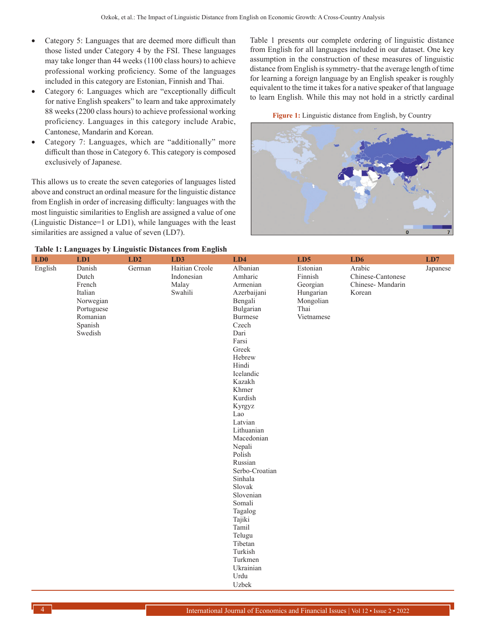- Category 5: Languages that are deemed more difficult than those listed under Category 4 by the FSI. These languages may take longer than 44 weeks (1100 class hours) to achieve professional working proficiency. Some of the languages included in this category are Estonian, Finnish and Thai.
- Category 6: Languages which are "exceptionally difficult for native English speakers" to learn and take approximately 88 weeks (2200 class hours) to achieve professional working proficiency. Languages in this category include Arabic, Cantonese, Mandarin and Korean.
- Category 7: Languages, which are "additionally" more difficult than those in Category 6. This category is composed exclusively of Japanese.

This allows us to create the seven categories of languages listed above and construct an ordinal measure for the linguistic distance from English in order of increasing difficulty: languages with the most linguistic similarities to English are assigned a value of one (Linguistic Distance=1 or LD1), while languages with the least similarities are assigned a value of seven (LD7).

Table 1 presents our complete ordering of linguistic distance from English for all languages included in our dataset. One key assumption in the construction of these measures of linguistic distance from English is symmetry- that the average length of time for learning a foreign language by an English speaker is roughly equivalent to the time it takes for a native speaker of that language to learn English. While this may not hold in a strictly cardinal

**Figure 1:** Linguistic distance from English, by Country



| LD0     | LD1                | LD2    | LD3            | LD4               | LD5        | LD6               | LD7      |
|---------|--------------------|--------|----------------|-------------------|------------|-------------------|----------|
| English | Danish             | German | Haitian Creole | Albanian          | Estonian   | Arabic            | Japanese |
|         | Dutch              |        | Indonesian     | Amharic           | Finnish    | Chinese-Cantonese |          |
|         | French             |        | Malay          | Armenian          | Georgian   | Chinese-Mandarin  |          |
|         | Italian            |        | Swahili        | Azerbaijani       | Hungarian  | Korean            |          |
|         | Norwegian          |        |                | Bengali           | Mongolian  |                   |          |
|         | Portuguese         |        |                | Bulgarian         | Thai       |                   |          |
|         | Romanian           |        |                | <b>Burmese</b>    | Vietnamese |                   |          |
|         | Spanish<br>Swedish |        |                | Czech<br>Dari     |            |                   |          |
|         |                    |        |                | Farsi             |            |                   |          |
|         |                    |        |                | Greek             |            |                   |          |
|         |                    |        |                | Hebrew            |            |                   |          |
|         |                    |        |                | Hindi             |            |                   |          |
|         |                    |        |                | Icelandic         |            |                   |          |
|         |                    |        |                | Kazakh            |            |                   |          |
|         |                    |        |                | Khmer             |            |                   |          |
|         |                    |        |                | Kurdish           |            |                   |          |
|         |                    |        |                | Kyrgyz            |            |                   |          |
|         |                    |        |                | Lao               |            |                   |          |
|         |                    |        |                | Latvian           |            |                   |          |
|         |                    |        |                | Lithuanian        |            |                   |          |
|         |                    |        |                | Macedonian        |            |                   |          |
|         |                    |        |                | Nepali            |            |                   |          |
|         |                    |        |                | Polish            |            |                   |          |
|         |                    |        |                | Russian           |            |                   |          |
|         |                    |        |                | Serbo-Croatian    |            |                   |          |
|         |                    |        |                | Sinhala           |            |                   |          |
|         |                    |        |                | Slovak            |            |                   |          |
|         |                    |        |                | Slovenian         |            |                   |          |
|         |                    |        |                | Somali<br>Tagalog |            |                   |          |
|         |                    |        |                | Tajiki            |            |                   |          |
|         |                    |        |                | Tamil             |            |                   |          |
|         |                    |        |                | Telugu            |            |                   |          |
|         |                    |        |                | Tibetan           |            |                   |          |
|         |                    |        |                | Turkish           |            |                   |          |
|         |                    |        |                | Turkmen           |            |                   |          |
|         |                    |        |                | Ukrainian         |            |                   |          |
|         |                    |        |                | Urdu              |            |                   |          |
|         |                    |        |                | Uzbek             |            |                   |          |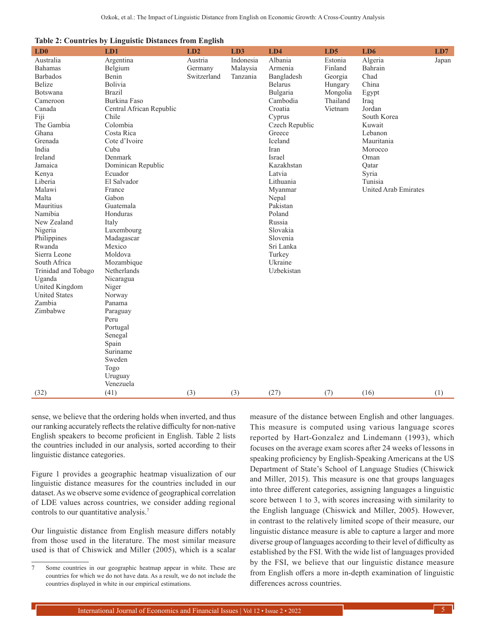|  | <b>Table 2: Countries by Linguistic Distances from English</b> |  |  |
|--|----------------------------------------------------------------|--|--|
|  |                                                                |  |  |

| LD0                         | LD1                      | LD2                | LD3                   | LD4                | LD5                | LD6                         | LD7   |
|-----------------------------|--------------------------|--------------------|-----------------------|--------------------|--------------------|-----------------------------|-------|
| Australia<br><b>Bahamas</b> | Argentina<br>Belgium     | Austria<br>Germany | Indonesia<br>Malaysia | Albania<br>Armenia | Estonia<br>Finland | Algeria<br>Bahrain          | Japan |
| <b>Barbados</b>             | Benin                    | Switzerland        | Tanzania              | Bangladesh         | Georgia            | Chad                        |       |
| Belize                      | Bolivia                  |                    |                       | <b>Belarus</b>     | Hungary            | China                       |       |
| Botswana                    | <b>Brazil</b>            |                    |                       | Bulgaria           | Mongolia           | Egypt                       |       |
| Cameroon                    | Burkina Faso             |                    |                       | Cambodia           | Thailand           | Iraq                        |       |
| Canada                      | Central African Republic |                    |                       | Croatia            | Vietnam            | Jordan                      |       |
| Fiji                        | Chile                    |                    |                       | Cyprus             |                    | South Korea                 |       |
| The Gambia                  | Colombia                 |                    |                       | Czech Republic     |                    | Kuwait                      |       |
| Ghana                       | Costa Rica               |                    |                       | Greece             |                    | Lebanon                     |       |
| Grenada                     | Cote d'Ivoire            |                    |                       | Iceland            |                    | Mauritania                  |       |
| India                       | Cuba                     |                    |                       | Iran               |                    | Morocco                     |       |
| Ireland                     | Denmark                  |                    |                       | Israel             |                    | Oman                        |       |
| Jamaica                     | Dominican Republic       |                    |                       | Kazakhstan         |                    | Oatar                       |       |
| Kenya                       | Ecuador                  |                    |                       | Latvia             |                    | Syria                       |       |
| Liberia                     | El Salvador              |                    |                       | Lithuania          |                    | Tunisia                     |       |
| Malawi                      | France                   |                    |                       | Myanmar            |                    | <b>United Arab Emirates</b> |       |
| Malta                       | Gabon                    |                    |                       | Nepal              |                    |                             |       |
| Mauritius                   | Guatemala                |                    |                       | Pakistan           |                    |                             |       |
| Namibia                     | Honduras                 |                    |                       | Poland             |                    |                             |       |
| New Zealand                 | Italy                    |                    |                       | Russia             |                    |                             |       |
| Nigeria                     | Luxembourg               |                    |                       | Slovakia           |                    |                             |       |
| Philippines                 | Madagascar               |                    |                       | Slovenia           |                    |                             |       |
| Rwanda                      | Mexico                   |                    |                       | Sri Lanka          |                    |                             |       |
| Sierra Leone                | Moldova                  |                    |                       | Turkey             |                    |                             |       |
| South Africa                | Mozambique               |                    |                       | Ukraine            |                    |                             |       |
| Trinidad and Tobago         | Netherlands              |                    |                       | Uzbekistan         |                    |                             |       |
| Uganda<br>United Kingdom    | Nicaragua                |                    |                       |                    |                    |                             |       |
| <b>United States</b>        | Niger<br>Norway          |                    |                       |                    |                    |                             |       |
| Zambia                      | Panama                   |                    |                       |                    |                    |                             |       |
| Zimbabwe                    | Paraguay                 |                    |                       |                    |                    |                             |       |
|                             | Peru                     |                    |                       |                    |                    |                             |       |
|                             | Portugal                 |                    |                       |                    |                    |                             |       |
|                             | Senegal                  |                    |                       |                    |                    |                             |       |
|                             | Spain                    |                    |                       |                    |                    |                             |       |
|                             | Suriname                 |                    |                       |                    |                    |                             |       |
|                             | Sweden                   |                    |                       |                    |                    |                             |       |
|                             | Togo                     |                    |                       |                    |                    |                             |       |
|                             | Uruguay                  |                    |                       |                    |                    |                             |       |
|                             | Venezuela                |                    |                       |                    |                    |                             |       |
| (32)                        | (41)                     | (3)                | (3)                   | (27)               | (7)                | (16)                        | (1)   |

sense, we believe that the ordering holds when inverted, and thus our ranking accurately reflects the relative difficulty for non-native English speakers to become proficient in English. Table 2 lists the countries included in our analysis, sorted according to their linguistic distance categories.

Figure 1 provides a geographic heatmap visualization of our linguistic distance measures for the countries included in our dataset. As we observe some evidence of geographical correlation of LDE values across countries, we consider adding regional controls to our quantitative analysis.7

Our linguistic distance from English measure differs notably from those used in the literature. The most similar measure used is that of Chiswick and Miller (2005), which is a scalar measure of the distance between English and other languages. This measure is computed using various language scores reported by Hart-Gonzalez and Lindemann (1993), which focuses on the average exam scores after 24 weeks of lessons in speaking proficiency by English-Speaking Americans at the US Department of State's School of Language Studies (Chiswick and Miller, 2015). This measure is one that groups languages into three different categories, assigning languages a linguistic score between 1 to 3, with scores increasing with similarity to the English language (Chiswick and Miller, 2005). However, in contrast to the relatively limited scope of their measure, our linguistic distance measure is able to capture a larger and more diverse group of languages according to their level of difficulty as established by the FSI. With the wide list of languages provided by the FSI, we believe that our linguistic distance measure from English offers a more in-depth examination of linguistic differences across countries.

<sup>7</sup> Some countries in our geographic heatmap appear in white. These are countries for which we do not have data. As a result, we do not include the countries displayed in white in our empirical estimations.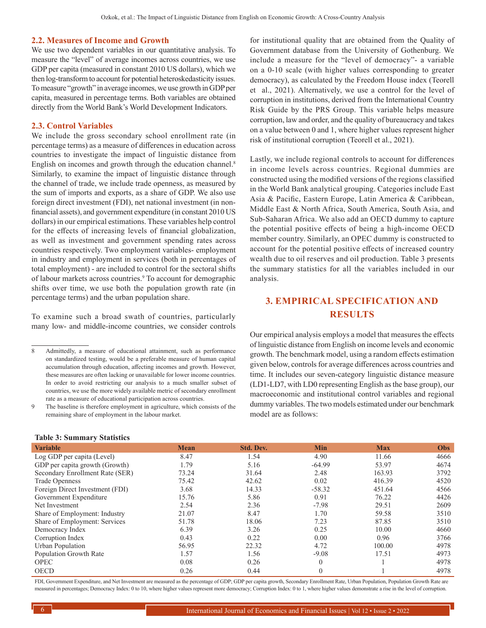#### **2.2. Measures of Income and Growth**

We use two dependent variables in our quantitative analysis. To measure the "level" of average incomes across countries, we use GDP per capita (measured in constant 2010 US dollars), which we then log-transform to account for potential heteroskedasticity issues. To measure "growth" in average incomes, we use growth in GDP per capita, measured in percentage terms. Both variables are obtained directly from the World Bank's World Development Indicators.

### **2.3. Control Variables**

We include the gross secondary school enrollment rate (in percentage terms) as a measure of differences in education across countries to investigate the impact of linguistic distance from English on incomes and growth through the education channel.<sup>8</sup> Similarly, to examine the impact of linguistic distance through the channel of trade, we include trade openness, as measured by the sum of imports and exports, as a share of GDP. We also use foreign direct investment (FDI), net national investment (in nonfinancial assets), and government expenditure (in constant 2010 US dollars) in our empirical estimations. These variables help control for the effects of increasing levels of financial globalization, as well as investment and government spending rates across countries respectively. Two employment variables- employment in industry and employment in services (both in percentages of total employment) - are included to control for the sectoral shifts of labour markets across countries.<sup>9</sup> To account for demographic shifts over time, we use both the population growth rate (in percentage terms) and the urban population share.

To examine such a broad swath of countries, particularly many low- and middle-income countries, we consider controls

8 Admittedly, a measure of educational attainment, such as performance on standardized testing, would be a preferable measure of human capital accumulation through education, affecting incomes and growth. However, these measures are often lacking or unavailable for lower income countries. In order to avoid restricting our analysis to a much smaller subset of countries, we use the more widely available metric of secondary enrollment rate as a measure of educational participation across countries.

The baseline is therefore employment in agriculture, which consists of the remaining share of employment in the labour market.

#### **Table 3: Summary Statistics**

for institutional quality that are obtained from the Quality of Government database from the University of Gothenburg. We include a measure for the "level of democracy"- a variable on a 0-10 scale (with higher values corresponding to greater democracy), as calculated by the Freedom House index (Teorell et al., 2021). Alternatively, we use a control for the level of corruption in institutions, derived from the International Country Risk Guide by the PRS Group. This variable helps measure corruption, law and order, and the quality of bureaucracy and takes on a value between 0 and 1, where higher values represent higher risk of institutional corruption (Teorell et al., 2021).

Lastly, we include regional controls to account for differences in income levels across countries. Regional dummies are constructed using the modified versions of the regions classified in the World Bank analytical grouping. Categories include East Asia & Pacific, Eastern Europe, Latin America & Caribbean, Middle East & North Africa, South America, South Asia, and Sub-Saharan Africa. We also add an OECD dummy to capture the potential positive effects of being a high-income OECD member country. Similarly, an OPEC dummy is constructed to account for the potential positive effects of increased country wealth due to oil reserves and oil production. Table 3 presents the summary statistics for all the variables included in our analysis.

# **3. EMPIRICAL SPECIFICATION AND RESULTS**

Our empirical analysis employs a model that measures the effects of linguistic distance from English on income levels and economic growth. The benchmark model, using a random effects estimation given below, controls for average differences across countries and time. It includes our seven-category linguistic distance measure (LD1-LD7, with LD0 representing English as the base group), our macroeconomic and institutional control variables and regional dummy variables. The two models estimated under our benchmark model are as follows:

| <b>Variable</b>                 | <b>Mean</b> | <b>Std. Dev.</b> | <b>Min</b> | <b>Max</b> | <b>Obs</b> |
|---------------------------------|-------------|------------------|------------|------------|------------|
| Log GDP per capita (Level)      | 8.47        | 1.54             | 4.90       | 11.66      | 4666       |
| GDP per capita growth (Growth)  | 1.79        | 5.16             | $-64.99$   | 53.97      | 4674       |
| Secondary Enrollment Rate (SER) | 73.24       | 31.64            | 2.48       | 163.93     | 3792       |
| <b>Trade Openness</b>           | 75.42       | 42.62            | 0.02       | 416.39     | 4520       |
| Foreign Direct Investment (FDI) | 3.68        | 14.33            | $-58.32$   | 451.64     | 4566       |
| Government Expenditure          | 15.76       | 5.86             | 0.91       | 76.22      | 4426       |
| Net Investment                  | 2.54        | 2.36             | $-7.98$    | 29.51      | 2609       |
| Share of Employment: Industry   | 21.07       | 8.47             | 1.70       | 59.58      | 3510       |
| Share of Employment: Services   | 51.78       | 18.06            | 7.23       | 87.85      | 3510       |
| Democracy Index                 | 6.39        | 3.26             | 0.25       | 10.00      | 4660       |
| Corruption Index                | 0.43        | 0.22             | 0.00       | 0.96       | 3766       |
| Urban Population                | 56.95       | 22.32            | 4.72       | 100.00     | 4978       |
| Population Growth Rate          | 1.57        | 1.56             | $-9.08$    | 17.51      | 4973       |
| <b>OPEC</b>                     | 0.08        | 0.26             | $\theta$   |            | 4978       |
| <b>OECD</b>                     | 0.26        | 0.44             | $\theta$   |            | 4978       |

FDI, Government Expenditure, and Net Investment are measured as the percentage of GDP; GDP per capita growth, Secondary Enrollment Rate, Urban Population, Population Growth Rate are measured in percentages; Democracy Index: 0 to 10, where higher values represent more democracy; Corruption Index: 0 to 1, where higher values demonstrate a rise in the level of corruption.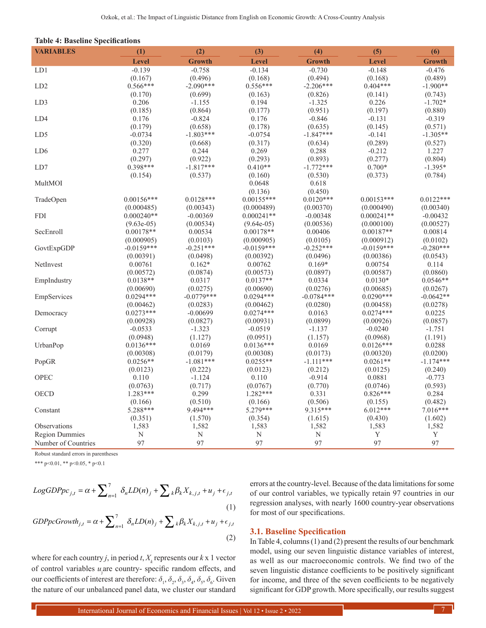| <b>VARIABLES</b>      | (1)          | (2)           | (3)          | (4)           | (5)          | (6)           |
|-----------------------|--------------|---------------|--------------|---------------|--------------|---------------|
|                       | <b>Level</b> | <b>Growth</b> | <b>Level</b> | <b>Growth</b> | <b>Level</b> | <b>Growth</b> |
| LD1                   | $-0.139$     | $-0.758$      | $-0.134$     | $-0.730$      | $-0.148$     | $-0.476$      |
|                       | (0.167)      | (0.496)       | (0.168)      | (0.494)       | (0.168)      | (0.489)       |
| LD <sub>2</sub>       | $0.566***$   | $-2.090***$   | $0.556***$   | $-2.206***$   | $0.404***$   | $-1.900**$    |
|                       | (0.170)      | (0.699)       | (0.163)      | (0.826)       | (0.141)      | (0.743)       |
| LD3                   | 0.206        | $-1.155$      | 0.194        | $-1.325$      | 0.226        | $-1.702*$     |
|                       | (0.185)      | (0.864)       | (0.177)      | (0.951)       | (0.197)      | (0.880)       |
| LD4                   | 0.176        | $-0.824$      | 0.176        | $-0.846$      | $-0.131$     | $-0.319$      |
|                       | (0.179)      | (0.658)       | (0.178)      | (0.635)       | (0.145)      | (0.571)       |
| LD5                   | $-0.0734$    | $-1.803***$   | $-0.0754$    | $-1.847***$   | $-0.141$     | $-1.305**$    |
|                       | (0.320)      | (0.668)       | (0.317)      | (0.634)       | (0.289)      | (0.527)       |
| LD <sub>6</sub>       | 0.277        | 0.244         | 0.269        | 0.288         | $-0.212$     | 1.227         |
|                       | (0.297)      | (0.922)       | (0.293)      | (0.893)       | (0.277)      | (0.804)       |
| LD7                   | $0.398***$   | $-1.817***$   | $0.410**$    | $-1.772***$   | $0.700*$     | $-1.395*$     |
|                       | (0.154)      | (0.537)       | (0.160)      | (0.530)       | (0.373)      | (0.784)       |
| MultMOI               |              |               | 0.0648       | 0.618         |              |               |
|                       |              |               | (0.136)      | (0.450)       |              |               |
| TradeOpen             | $0.00156***$ | $0.0128***$   | $0.00155***$ | $0.0120***$   | $0.00153***$ | $0.0122***$   |
|                       | (0.000485)   | (0.00343)     | (0.000489)   | (0.00370)     | (0.000490)   | (0.00340)     |
| <b>FDI</b>            | $0.000240**$ | $-0.00369$    | $0.000241**$ | $-0.00348$    | $0.000241**$ | $-0.00432$    |
|                       | $(9.63e-05)$ | (0.00534)     | $(9.64e-05)$ | (0.00536)     | (0.000100)   | (0.00527)     |
| SecEnroll             | $0.00178**$  | 0.00534       | $0.00178**$  | 0.00406       | $0.00187**$  | 0.00814       |
|                       | (0.000905)   | (0.0103)      | (0.000905)   | (0.0105)      | (0.000912)   | (0.0102)      |
| GovtExpGDP            | $-0.0159***$ | $-0.251***$   | $-0.0159***$ | $-0.252***$   | $-0.0159***$ | $-0.280***$   |
|                       | (0.00391)    | (0.0498)      | (0.00392)    | (0.0496)      | (0.00386)    | (0.0543)      |
| NetInvest             | 0.00761      | $0.162*$      | 0.00762      | $0.169*$      | 0.00754      | 0.114         |
|                       | (0.00572)    | (0.0874)      | (0.00573)    | (0.0897)      | (0.00587)    | (0.0860)      |
| EmpIndustry           | $0.0138**$   | 0.0317        | $0.0137**$   | 0.0334        | $0.0130*$    | $0.0546**$    |
|                       | (0.00690)    | (0.0275)      | (0.00690)    | (0.0276)      | (0.00685)    | (0.0267)      |
| EmpServices           | $0.0294***$  | $-0.0779***$  | $0.0294***$  | $-0.0784***$  | $0.0290***$  | $-0.0642**$   |
|                       | (0.00462)    | (0.0283)      | (0.00462)    | (0.0280)      | (0.00458)    | (0.0278)      |
| Democracy             | $0.0273***$  | $-0.00699$    | $0.0274***$  | 0.0163        | $0.0274***$  | 0.0225        |
|                       | (0.00928)    | (0.0827)      | (0.00931)    | (0.0899)      | (0.00926)    | (0.0857)      |
| Corrupt               | $-0.0533$    | $-1.323$      | $-0.0519$    | $-1.137$      | $-0.0240$    | $-1.751$      |
|                       | (0.0948)     | (1.127)       | (0.0951)     | (1.157)       | (0.0968)     | (1.191)       |
| UrbanPop              | $0.0136***$  | 0.0169        | $0.0136***$  | 0.0169        | $0.0126***$  | 0.0288        |
|                       | (0.00308)    | (0.0179)      | (0.00308)    | (0.0173)      | (0.00320)    | (0.0200)      |
| PopGR                 | $0.0256**$   | $-1.081***$   | $0.0255**$   | $-1.111***$   | $0.0261**$   | $-1.174***$   |
|                       | (0.0123)     | (0.222)       | (0.0123)     | (0.212)       | (0.0125)     | (0.240)       |
| OPEC                  | 0.110        | $-1.124$      | 0.110        | $-0.914$      | 0.0881       | $-0.773$      |
|                       | (0.0763)     | (0.717)       | (0.0767)     | (0.770)       | (0.0746)     | (0.593)       |
| OECD                  | $1.283***$   | 0.299         | $1.282***$   | 0.331         | $0.826***$   | 0.284         |
|                       | (0.166)      | (0.510)       | (0.166)      | (0.506)       | (0.155)      | (0.482)       |
| Constant              | 5.288***     | 9.494***      | 5.279***     | 9.315***      | $6.012***$   | 7.016***      |
|                       | (0.351)      | (1.570)       | (0.354)      | (1.615)       | (0.430)      | (1.602)       |
| Observations          | 1,583        | 1,582         | 1,583        | 1,582         | 1,583        | 1,582         |
| <b>Region Dummies</b> | N            | N             | $\mathbf N$  | N             | Y            | Y             |
| Number of Countries   | 97           | 97            | 97           | 97            | 97           | 97            |
|                       |              |               |              |               |              |               |

Robust standard errors in parentheses

\*\*\* p<0.01, \*\* p<0.05, \* p<0.1

$$
LogGDPpc_{j,t} = \alpha + \sum_{n=1}^{7} \delta_n LD(n)_j + \sum_k \beta_k X_{k,j,t} + u_j + \epsilon_{j,t}
$$
  
(1)  
*GDPpcGrowth<sub>j,t</sub>* =  $\alpha + \sum_{n=1}^{7} \delta_n LD(n)_j + \sum_k \beta_k X_{k,j,t} + u_j + \epsilon_{j,t}$ 

$$
GDPpcGrowth_{j,t} = \alpha + \sum_{n=1} \delta_n LD(n)_j + \sum_k \beta_k X_{k,j,t} + u_j + \epsilon_{j,t}
$$
\n(2)

where for each country *j*, in period *t*,  $X_k$  represents our  $k \ge 1$  vector of control variables *u*<sup>j</sup> are country- specific random effects, and our coefficients of interest are therefore:  $\delta_1$ ,  $\delta_2$ ,  $\delta_3$ ,  $\delta_4$ ,  $\delta_5$ ,  $\delta_6$ . Given the nature of our unbalanced panel data, we cluster our standard

errors at the country-level. Because of the data limitations for some of our control variables, we typically retain 97 countries in our regression analyses, with nearly 1600 country-year observations for most of our specifications.

#### **3.1. Baseline Specification**

In Table 4, columns (1) and (2) present the results of our benchmark model, using our seven linguistic distance variables of interest, as well as our macroeconomic controls. We find two of the seven linguistic distance coefficients to be positively significant for income, and three of the seven coefficients to be negatively significant for GDP growth. More specifically, our results suggest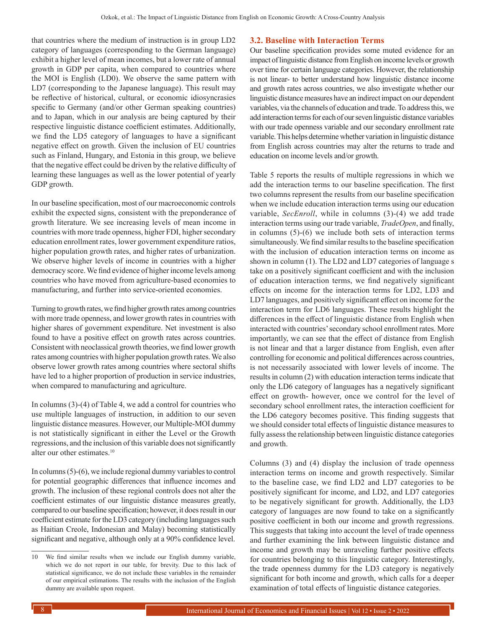that countries where the medium of instruction is in group LD2 category of languages (corresponding to the German language) exhibit a higher level of mean incomes, but a lower rate of annual growth in GDP per capita, when compared to countries where the MOI is English (LD0). We observe the same pattern with LD7 (corresponding to the Japanese language). This result may be reflective of historical, cultural, or economic idiosyncrasies specific to Germany (and/or other German speaking countries) and to Japan, which in our analysis are being captured by their respective linguistic distance coefficient estimates. Additionally, we find the LD5 category of languages to have a significant negative effect on growth. Given the inclusion of EU countries such as Finland, Hungary, and Estonia in this group, we believe that the negative effect could be driven by the relative difficulty of learning these languages as well as the lower potential of yearly GDP growth.

In our baseline specification, most of our macroeconomic controls exhibit the expected signs, consistent with the preponderance of growth literature. We see increasing levels of mean income in countries with more trade openness, higher FDI, higher secondary education enrollment rates, lower government expenditure ratios, higher population growth rates, and higher rates of urbanization. We observe higher levels of income in countries with a higher democracy score. We find evidence of higher income levels among countries who have moved from agriculture-based economies to manufacturing, and further into service-oriented economies.

Turning to growth rates, we find higher growth rates among countries with more trade openness, and lower growth rates in countries with higher shares of government expenditure. Net investment is also found to have a positive effect on growth rates across countries. Consistent with neoclassical growth theories, we find lower growth rates among countries with higher population growth rates. We also observe lower growth rates among countries where sectoral shifts have led to a higher proportion of production in service industries, when compared to manufacturing and agriculture.

In columns (3)-(4) of Table 4, we add a control for countries who use multiple languages of instruction, in addition to our seven linguistic distance measures. However, our Multiple-MOI dummy is not statistically significant in either the Level or the Growth regressions, and the inclusion of this variable does not significantly alter our other estimates.<sup>10</sup>

In columns (5)-(6), we include regional dummy variables to control for potential geographic differences that influence incomes and growth. The inclusion of these regional controls does not alter the coefficient estimates of our linguistic distance measures greatly, compared to our baseline specification; however, it does result in our coefficient estimate for the LD3 category (including languages such as Haitian Creole, Indonesian and Malay) becoming statistically significant and negative, although only at a 90% confidence level.

## **3.2. Baseline with Interaction Terms**

Our baseline specification provides some muted evidence for an impact of linguistic distance from English on income levels or growth over time for certain language categories. However, the relationship is not linear- to better understand how linguistic distance income and growth rates across countries, we also investigate whether our linguistic distance measures have an indirect impact on our dependent variables, via the channels of education and trade. To address this, we add interaction terms for each of our seven linguistic distance variables with our trade openness variable and our secondary enrollment rate variable. This helps determine whether variation in linguistic distance from English across countries may alter the returns to trade and education on income levels and/or growth.

Table 5 reports the results of multiple regressions in which we add the interaction terms to our baseline specification. The first two columns represent the results from our baseline specification when we include education interaction terms using our education variable, *SecEnroll*, while in columns (3)-(4) we add trade interaction terms using our trade variable, *TradeOpen*, and finally, in columns (5)-(6) we include both sets of interaction terms simultaneously. We find similar results to the baseline specification with the inclusion of education interaction terms on income as shown in column (1). The LD2 and LD7 categories of language s take on a positively significant coefficient and with the inclusion of education interaction terms, we find negatively significant effects on income for the interaction terms for LD2, LD3 and LD7 languages, and positively significant effect on income for the interaction term for LD6 languages. These results highlight the differences in the effect of linguistic distance from English when interacted with countries' secondary school enrollment rates. More importantly, we can see that the effect of distance from English is not linear and that a larger distance from English, even after controlling for economic and political differences across countries, is not necessarily associated with lower levels of income. The results in column (2) with education interaction terms indicate that only the LD6 category of languages has a negatively significant effect on growth- however, once we control for the level of secondary school enrollment rates, the interaction coefficient for the LD6 category becomes positive. This finding suggests that we should consider total effects of linguistic distance measures to fully assess the relationship between linguistic distance categories and growth.

Columns (3) and (4) display the inclusion of trade openness interaction terms on income and growth respectively. Similar to the baseline case, we find LD2 and LD7 categories to be positively significant for income, and LD2, and LD7 categories to be negatively significant for growth. Additionally, the LD3 category of languages are now found to take on a significantly positive coefficient in both our income and growth regressions. This suggests that taking into account the level of trade openness and further examining the link between linguistic distance and income and growth may be unraveling further positive effects for countries belonging to this linguistic category. Interestingly, the trade openness dummy for the LD3 category is negatively significant for both income and growth, which calls for a deeper examination of total effects of linguistic distance categories.

<sup>10</sup> We find similar results when we include our English dummy variable, which we do not report in our table, for brevity. Due to this lack of statistical significance, we do not include these variables in the remainder of our empirical estimations. The results with the inclusion of the English dummy are available upon request.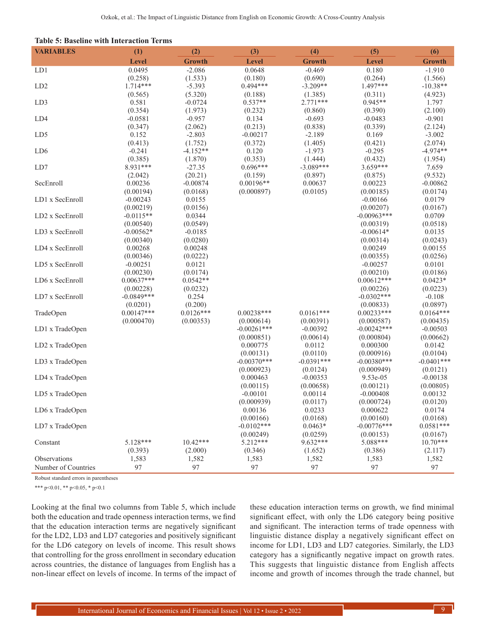| <b>Table 5: Baseline with Interaction Terms</b> |  |  |  |
|-------------------------------------------------|--|--|--|
|-------------------------------------------------|--|--|--|

| <b>VARIABLES</b>    | (1)                      | (2)                    | (3)                         | (4)                     | (5)                         | (6)                     |
|---------------------|--------------------------|------------------------|-----------------------------|-------------------------|-----------------------------|-------------------------|
|                     | Level                    | <b>Growth</b>          | Level                       | <b>Growth</b>           | Level                       | <b>Growth</b>           |
| LD1                 | 0.0495                   | $-2.086$               | 0.0648                      | $-0.469$                | 0.180                       | $-1.910$                |
|                     | (0.258)                  | (1.533)                | (0.180)                     | (0.690)                 | (0.264)                     | (1.566)                 |
| LD <sub>2</sub>     | $1.714***$               | $-5.393$               | $0.494***$                  | $-3.209**$              | 1.497***                    | $-10.38**$              |
|                     | (0.565)                  | (5.320)                | (0.188)                     | (1.385)                 | (0.311)                     | (4.923)                 |
| LD3                 | 0.581                    | $-0.0724$              | $0.537**$                   | $2.771***$              | $0.945**$                   | 1.797                   |
|                     | (0.354)                  | (1.973)                | (0.232)                     | (0.860)                 | (0.390)                     | (2.100)                 |
| LD4                 | $-0.0581$                | $-0.957$               | 0.134                       | $-0.693$                | $-0.0483$                   | $-0.901$                |
|                     | (0.347)                  | (2.062)                | (0.213)                     | (0.838)                 | (0.339)                     | (2.124)                 |
| LD5                 | 0.152                    | $-2.803$               | $-0.00217$                  | $-2.189$                | 0.169                       | $-3.002$                |
|                     | (0.413)                  | (1.752)                | (0.372)                     | (1.405)                 | (0.421)                     | (2.074)                 |
| LD <sub>6</sub>     | $-0.241$                 | $-4.152**$             | 0.120                       | $-1.973$                | $-0.295$                    | $-4.974**$              |
|                     | (0.385)                  | (1.870)                | (0.353)                     | (1.444)                 | (0.432)                     | (1.954)                 |
| LD7                 | 8.931***                 | $-27.35$               | $0.696***$                  | $-3.089***$             | $3.659***$                  | 7.659                   |
|                     | (2.042)                  | (20.21)                | (0.159)                     | (0.897)                 | (0.875)                     | (9.532)                 |
| SecEnroll           | 0.00236                  | $-0.00874$             | $0.00196**$                 | 0.00637                 | 0.00223                     | $-0.00862$              |
|                     | (0.00194)                | (0.0168)               | (0.000897)                  | (0.0105)                | (0.00185)                   | (0.0174)                |
| LD1 x SecEnroll     | $-0.00243$               | 0.0155                 |                             |                         | $-0.00166$                  | 0.0179                  |
|                     | (0.00219)                | (0.0156)               |                             |                         | (0.00207)                   | (0.0167)                |
| LD2 x SecEnroll     | $-0.0115**$              | 0.0344                 |                             |                         | $-0.00963***$               | 0.0709                  |
|                     | (0.00540)                | (0.0549)               |                             |                         | (0.00319)                   | (0.0518)                |
| LD3 x SecEnroll     | $-0.00562*$              | $-0.0185$              |                             |                         | $-0.00614*$                 | 0.0135                  |
|                     | (0.00340)                | (0.0280)               |                             |                         | (0.00314)                   | (0.0243)                |
| LD4 x SecEnroll     | 0.00268                  | 0.00248                |                             |                         | 0.00249                     | 0.00155                 |
|                     | (0.00346)                | (0.0222)               |                             |                         | (0.00355)                   | (0.0256)                |
| LD5 x SecEnroll     | $-0.00251$               | 0.0121                 |                             |                         | $-0.00257$                  | 0.0101                  |
|                     | (0.00230)                | (0.0174)               |                             |                         | (0.00210)                   | (0.0186)                |
| LD6 x SecEnroll     | $0.00637***$             | $0.0542**$             |                             |                         | $0.00612***$                | $0.0423*$               |
|                     | (0.00228)                | (0.0232)               |                             |                         | (0.00226)                   | (0.0223)                |
| LD7 x SecEnroll     | $-0.0849***$             | 0.254                  |                             |                         | $-0.0302***$                | $-0.108$                |
|                     | (0.0201)<br>$0.00147***$ | (0.200)<br>$0.0126***$ |                             |                         | (0.00833)                   | (0.0897)<br>$0.0164***$ |
| TradeOpen           |                          |                        | $0.00238***$                | $0.0161***$             | $0.00233***$                |                         |
|                     | (0.000470)               | (0.00353)              | (0.000614)<br>$-0.00261***$ | (0.00391)<br>$-0.00392$ | (0.000587)<br>$-0.00242***$ | (0.00435)<br>$-0.00503$ |
| LD1 x TradeOpen     |                          |                        |                             |                         |                             |                         |
| LD2 x TradeOpen     |                          |                        | (0.000851)<br>0.000775      | (0.00614)<br>0.0112     | (0.000804)<br>0.000300      | (0.00662)<br>0.0142     |
|                     |                          |                        | (0.00131)                   | (0.0110)                | (0.000916)                  | (0.0104)                |
| LD3 x TradeOpen     |                          |                        | $-0.00370***$               | $-0.0391***$            | $-0.00380***$               | $-0.0401***$            |
|                     |                          |                        | (0.000923)                  | (0.0124)                | (0.000949)                  | (0.0121)                |
| LD4 x TradeOpen     |                          |                        | 0.000463                    | $-0.00353$              | $9.53e-05$                  | $-0.00138$              |
|                     |                          |                        | (0.00115)                   | (0.00658)               | (0.00121)                   | (0.00805)               |
| LD5 x TradeOpen     |                          |                        | $-0.00101$                  | 0.00114                 | $-0.000408$                 | 0.00132                 |
|                     |                          |                        | (0.000939)                  | (0.0117)                | (0.000724)                  | (0.0120)                |
| LD6 x TradeOpen     |                          |                        | 0.00136                     | 0.0233                  | 0.000622                    | 0.0174                  |
|                     |                          |                        | (0.00166)                   | (0.0168)                | (0.00160)                   | (0.0168)                |
| LD7 x TradeOpen     |                          |                        | $-0.0102***$                | $0.0463*$               | $-0.00776***$               | $0.0581***$             |
|                     |                          |                        | (0.00249)                   | (0.0259)                | (0.00153)                   | (0.0167)                |
| Constant            | 5.128***                 | $10.42***$             | $5.212***$                  | $9.632***$              | $5.088***$                  | $10.70***$              |
|                     | (0.393)                  | (2.000)                | (0.346)                     | (1.652)                 | (0.386)                     | (2.117)                 |
| Observations        | 1,583                    | 1,582                  | 1,583                       | 1,582                   | 1,583                       | 1,582                   |
| Number of Countries | 97                       | 97                     | 97                          | 97                      | 97                          | 97                      |

Robust standard errors in parentheses

\*\*\* p<0.01, \*\* p<0.05, \* p<0.1

Looking at the final two columns from Table 5, which include both the education and trade openness interaction terms, we find that the education interaction terms are negatively significant for the LD2, LD3 and LD7 categories and positively significant for the LD6 category on levels of income. This result shows that controlling for the gross enrollment in secondary education across countries, the distance of languages from English has a non-linear effect on levels of income. In terms of the impact of these education interaction terms on growth, we find minimal significant effect, with only the LD6 category being positive and significant. The interaction terms of trade openness with linguistic distance display a negatively significant effect on income for LD1, LD3 and LD7 categories. Similarly, the LD3 category has a significantly negative impact on growth rates. This suggests that linguistic distance from English affects income and growth of incomes through the trade channel, but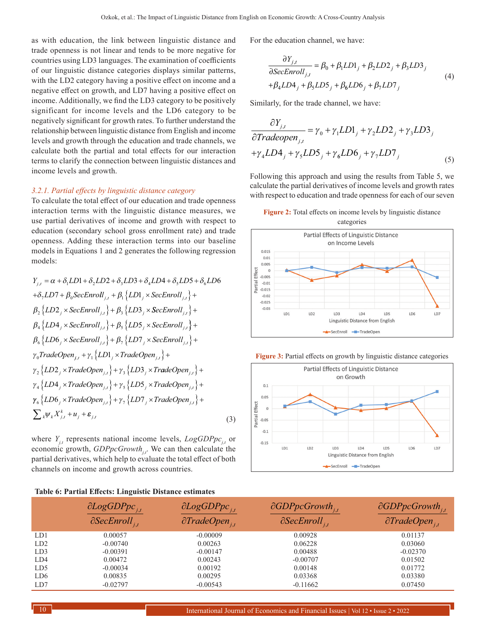as with education, the link between linguistic distance and trade openness is not linear and tends to be more negative for countries using LD3 languages. The examination of coefficients of our linguistic distance categories displays similar patterns, with the LD2 category having a positive effect on income and a negative effect on growth, and LD7 having a positive effect on income. Additionally, we find the LD3 category to be positively significant for income levels and the LD6 category to be negatively significant for growth rates. To further understand the relationship between linguistic distance from English and income levels and growth through the education and trade channels, we calculate both the partial and total effects for our interaction terms to clarify the connection between linguistic distances and income levels and growth.

#### *3.2.1. Partial effects by linguistic distance category*

To calculate the total effect of our education and trade openness interaction terms with the linguistic distance measures, we use partial derivatives of income and growth with respect to education (secondary school gross enrollment rate) and trade openness. Adding these interaction terms into our baseline models in Equations 1 and 2 generates the following regression models:

$$
Y_{j,t} = \alpha + \delta_1 LD1 + \delta_2 LD2 + \delta_3 LD3 + \delta_4 LD4 + \delta_5 LD5 + \delta_6 LD6
$$
  
+ $\delta_7 LD7 + \beta_0 SecEnroll_{j,t} + \beta_1 \{LD1_j \times SecEnroll_{j,t} \} +$   
 $\beta_2 \{LD2_j \times SecEnroll_{j,t} \} + \beta_3 \{LD3_j \times SecEnroll_{j,t} \} +$   
 $\beta_4 \{LD4_j \times SecEnroll_{j,t} \} + \beta_5 \{LD5_j \times SecEnroll_{j,t} \} +$   
 $\beta_6 \{LD6_j \times SecEnroll_{j,t} \} + \beta_7 \{LD7_j \times SecEnroll_{j,t} \} +$   
 $\gamma_0 TradeOpen_{j,t} + \gamma_1 \{LD1_j \times TradeOpen_{j,t} \} +$   
 $\gamma_2 \{LD2_j \times TradeOpen_{j,t} \} + \gamma_3 \{LD3_j \times TradeOpen_{j,t} \} +$   
 $\gamma_4 \{LD4_j \times TradeOpen_{j,t} \} + \gamma_5 \{LD5_j \times TradeOpen_{j,t} \} +$   
 $\gamma_6 \{LD6_j \times TradeOpen_{j,t} \} + \gamma_7 \{LD7_j \times TradeOpen_{j,t} \} +$   
 $\gamma_6 \{LD6_j \times TradeOpen_{j,t} \} + \gamma_7 \{LD7_j \times TradeOpen_{j,t} \} +$   
 $\sum_k \psi_k X_{j,t}^k + u_j + \varepsilon_{j,t}$  (3)

where  $Y_{i,t}$  represents national income levels,  $LogGDPpc_{i,t}$  or economic growth, *GDPpcGrowth<sub>it</sub>*. We can then calculate the partial derivatives, which help to evaluate the total effect of both channels on income and growth across countries.

| Table 6: Partial Effects: Linguistic Distance estimates |  |  |  |
|---------------------------------------------------------|--|--|--|
|---------------------------------------------------------|--|--|--|

For the education channel, we have:

$$
\frac{\partial Y_{j,t}}{\partial SecEnroll_{j,t}} = \beta_0 + \beta_1 LD1_j + \beta_2 LD2_j + \beta_3 LD3_j
$$
  
+ $\beta_4 LD4_j + \beta_5 LD5_j + \beta_6 LD6_j + \beta_7 LD7_j$  (4)

Similarly, for the trade channel, we have:

$$
\frac{\partial Y_{j,t}}{\partial Tradeopen_{j,t}} = \gamma_0 + \gamma_1 LDI_j + \gamma_2 LD2_j + \gamma_3 LD3_j
$$
  
+ $\gamma_4 LDA_j + \gamma_5 LDS_j + \gamma_6 LD6_j + \gamma_7 LD7_j$  (5)

Following this approach and using the results from Table 5, we calculate the partial derivatives of income levels and growth rates with respect to education and trade openness for each of our seven

**Figure 2:** Total effects on income levels by linguistic distance categories







|                 | $\partial LogGDPpc_{i,t}$<br>$ \partial \text{SecEnroll}_{i,t} $ | $\partial LogGDPpc_{i,t}$<br>$\partial TradeOpen_{i,t}$ | $\partial GDPpc Growth_{i,t}$<br>$\partial \text{SecEnroll}_{i,t}$ | $\partial GDPpc Growth_{i,t}$<br>$\partial TradeOpen_{i,t}$ |
|-----------------|------------------------------------------------------------------|---------------------------------------------------------|--------------------------------------------------------------------|-------------------------------------------------------------|
| LD1             | 0.00057                                                          | $-0.00009$                                              | 0.00928                                                            | 0.01137                                                     |
| LD2             | $-0.00740$                                                       | 0.00263                                                 | 0.06228                                                            | 0.03060                                                     |
| LD3             | $-0.00391$                                                       | $-0.00147$                                              | 0.00488                                                            | $-0.02370$                                                  |
| LD4             | 0.00472                                                          | 0.00243                                                 | $-0.00707$                                                         | 0.01502                                                     |
| LD5             | $-0.00034$                                                       | 0.00192                                                 | 0.00148                                                            | 0.01772                                                     |
| LD <sub>6</sub> | 0.00835                                                          | 0.00295                                                 | 0.03368                                                            | 0.03380                                                     |
| LD7             | $-0.02797$                                                       | $-0.00543$                                              | $-0.11662$                                                         | 0.07450                                                     |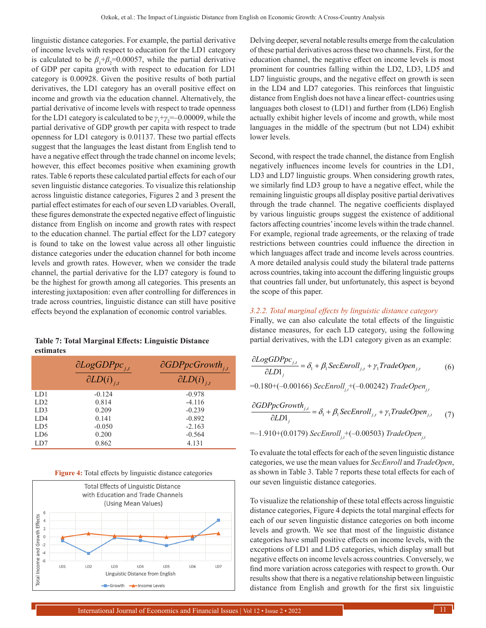linguistic distance categories. For example, the partial derivative of income levels with respect to education for the LD1 category is calculated to be  $\beta_1 + \beta_2 = 0.00057$ , while the partial derivative of GDP per capita growth with respect to education for LD1 category is 0.00928. Given the positive results of both partial derivatives, the LD1 category has an overall positive effect on income and growth via the education channel. Alternatively, the partial derivative of income levels with respect to trade openness for the LD1 category is calculated to be  $\gamma_1 + \gamma_2 = -0.00009$ , while the partial derivative of GDP growth per capita with respect to trade openness for LD1 category is 0.01137. These two partial effects suggest that the languages the least distant from English tend to have a negative effect through the trade channel on income levels; however, this effect becomes positive when examining growth rates. Table 6 reports these calculated partial effects for each of our seven linguistic distance categories. To visualize this relationship across linguistic distance categories, Figures 2 and 3 present the partial effect estimates for each of our seven LD variables. Overall, these figures demonstrate the expected negative effect of linguistic distance from English on income and growth rates with respect to the education channel. The partial effect for the LD7 category is found to take on the lowest value across all other linguistic distance categories under the education channel for both income levels and growth rates. However, when we consider the trade channel, the partial derivative for the LD7 category is found to be the highest for growth among all categories. This presents an interesting juxtaposition: even after controlling for differences in trade across countries, linguistic distance can still have positive effects beyond the explanation of economic control variables.

**Table 7: Total Marginal Effects: Linguistic Distance estimates**

|                 | $\partial LogGDPpc_{i,t}$<br>$\partial LD(i)_{i,t}$ | $\partial GDPpc$ Growth <sub>j,t</sub><br>$\partial LD(i)_{i,t}$ |
|-----------------|-----------------------------------------------------|------------------------------------------------------------------|
| LD1             | $-0.124$                                            | $-0.978$                                                         |
| LD2             | 0.814                                               | $-4.116$                                                         |
| LD3             | 0.209                                               | $-0.239$                                                         |
| LD4             | 0.141                                               | $-0.892$                                                         |
| LD <sub>5</sub> | $-0.050$                                            | $-2.163$                                                         |
| LD <sub>6</sub> | 0.200                                               | $-0.564$                                                         |
| LD7             | 0.862                                               | 4.131                                                            |

|  |  |  | <b>Figure 4:</b> Total effects by linguistic distance categories |
|--|--|--|------------------------------------------------------------------|
|  |  |  |                                                                  |



Delving deeper, several notable results emerge from the calculation of these partial derivatives across these two channels. First, for the education channel, the negative effect on income levels is most prominent for countries falling within the LD2, LD3, LD5 and LD7 linguistic groups, and the negative effect on growth is seen in the LD4 and LD7 categories. This reinforces that linguistic distance from English does not have a linear effect- countries using languages both closest to (LD1) and further from (LD6) English actually exhibit higher levels of income and growth, while most languages in the middle of the spectrum (but not LD4) exhibit lower levels.

Second, with respect the trade channel, the distance from English negatively influences income levels for countries in the LD1, LD3 and LD7 linguistic groups. When considering growth rates, we similarly find LD3 group to have a negative effect, while the remaining linguistic groups all display positive partial derivatives through the trade channel. The negative coefficients displayed by various linguistic groups suggest the existence of additional factors affecting countries' income levels within the trade channel. For example, regional trade agreements, or the relaxing of trade restrictions between countries could influence the direction in which languages affect trade and income levels across countries. A more detailed analysis could study the bilateral trade patterns across countries, taking into account the differing linguistic groups that countries fall under, but unfortunately, this aspect is beyond the scope of this paper.

#### *3.2.2. Total marginal effects by linguistic distance category*

Finally, we can also calculate the total effects of the linguistic distance measures, for each LD category, using the following partial derivatives, with the LD1 category given as an example:

$$
\frac{\partial LogGDPpc_{j,t}}{\partial LDl_j} = \delta_1 + \beta_1 SecEnroll_{j,t} + \gamma_1 TradeOpen_{j,t}
$$
\n
$$
= 0.180 + (-0.00166) SecEnroll_{j,t} + (-0.00242) TradeOpen_{j,t}
$$
\n(6)

$$
\frac{\partial GDPpcc growth_{j,t}}{\partial LD_1_j} = \delta_1 + \beta_1 SecEnroll_{j,t} + \gamma_1 TradeOpen_{j,t} \tag{7}
$$
  
=-1.910+(0.0179)  $SecEnroll_{j,t}$  + (-0.00503)  $TradeOpen_{j,t}$ 

To evaluate the total effects for each of the seven linguistic distance categories, we use the mean values for *SecEnroll* and *TradeOpen*, as shown in Table 3. Table 7 reports these total effects for each of our seven linguistic distance categories.

To visualize the relationship of these total effects across linguistic distance categories, Figure 4 depicts the total marginal effects for each of our seven linguistic distance categories on both income levels and growth. We see that most of the linguistic distance categories have small positive effects on income levels, with the exceptions of LD1 and LD5 categories, which display small but negative effects on income levels across countries. Conversely, we find more variation across categories with respect to growth. Our results show that there is a negative relationship between linguistic distance from English and growth for the first six linguistic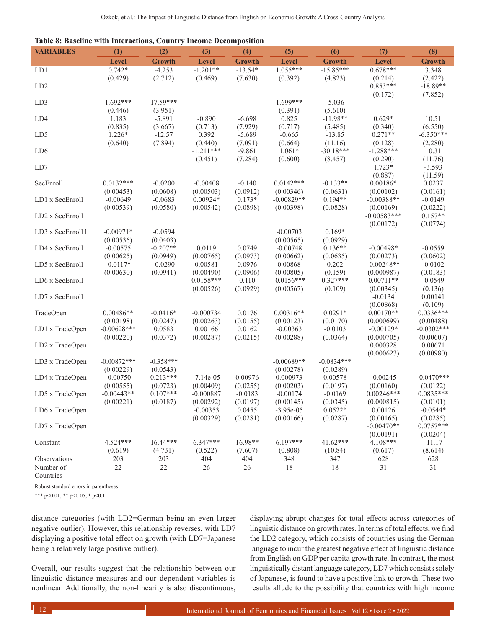|  |  |  | Table 8: Baseline with Interactions, Country Income Decomposition |
|--|--|--|-------------------------------------------------------------------|
|  |  |  |                                                                   |

| <b>VARIABLES</b>       | (1)                     | (2)                   | (3)                     | (4)                  | (5)                       | (6)                   | (7)                       | (8)                   |
|------------------------|-------------------------|-----------------------|-------------------------|----------------------|---------------------------|-----------------------|---------------------------|-----------------------|
|                        | Level                   | <b>Growth</b>         | Level                   | <b>Growth</b>        | Level                     | <b>Growth</b>         | <b>Level</b>              | <b>Growth</b>         |
| LD1                    | $0.742*$                | $-4.253$              | $-1.201**$              | $-13.54*$            | $1.055***$                | $-15.85***$           | $0.678***$                | 3.348                 |
|                        | (0.429)                 | (2.712)               | (0.469)                 | (7.630)              | (0.392)                   | (4.823)               | (0.214)                   | (2.422)               |
| LD <sub>2</sub>        |                         |                       |                         |                      |                           |                       | $0.853***$                | $-18.89**$            |
|                        |                         |                       |                         |                      |                           |                       | (0.172)                   | (7.852)               |
| LD3                    | $1.692***$              | $17.59***$            |                         |                      | $1.699***$                | $-5.036$              |                           |                       |
|                        | (0.446)                 | (3.951)               |                         |                      | (0.391)                   | (5.610)               |                           |                       |
| LD4                    | 1.183                   | $-5.891$              | $-0.890$                | $-6.698$             | 0.825                     | $-11.98**$            | $0.629*$                  | 10.51                 |
|                        | (0.835)                 | (3.667)               | (0.713)                 | (7.929)              | (0.717)                   | (5.485)               | (0.340)                   | (6.550)               |
| LD5                    | $1.226*$                | $-12.57$              | 0.392                   | $-5.689$             | $-0.665$                  | $-13.85$              | $0.271**$                 | $-6.350***$           |
|                        | (0.640)                 | (7.894)               | (0.440)                 | (7.091)              | (0.664)                   | (11.16)               | (0.128)                   | (2.280)               |
| LD <sub>6</sub>        |                         |                       | $-1.211***$             | $-9.861$             | $1.061*$                  | $-30.18***$           | $-1.288***$               | 10.31                 |
|                        |                         |                       | (0.451)                 | (7.284)              | (0.600)                   | (8.457)               | (0.290)                   | (11.76)               |
| LD7                    |                         |                       |                         |                      |                           |                       | $1.723*$                  | $-3.593$              |
|                        | $0.0132***$             |                       |                         |                      |                           |                       | (0.887)                   | (11.59)               |
| SecEnroll              |                         | $-0.0200$             | $-0.00408$              | $-0.140$<br>(0.0912) | $0.0142***$               | $-0.133**$            | $0.00186*$                | 0.0237                |
| LD1 x SecEnroll        | (0.00453)<br>$-0.00649$ | (0.0608)<br>$-0.0683$ | (0.00503)<br>$0.00924*$ | $0.173*$             | (0.00346)<br>$-0.00829**$ | (0.0631)<br>$0.194**$ | (0.00102)<br>$-0.00388**$ | (0.0161)<br>$-0.0149$ |
|                        | (0.00539)               | (0.0580)              | (0.00542)               | (0.0898)             | (0.00398)                 | (0.0828)              | (0.00169)                 | (0.0222)              |
| LD2 x SecEnroll        |                         |                       |                         |                      |                           |                       | $-0.00583***$             | $0.157**$             |
|                        |                         |                       |                         |                      |                           |                       | (0.00172)                 | (0.0774)              |
| LD3 x SecEnroll 1      | $-0.00971*$             | $-0.0594$             |                         |                      | $-0.00703$                | $0.169*$              |                           |                       |
|                        | (0.00536)               | (0.0403)              |                         |                      | (0.00565)                 | (0.0929)              |                           |                       |
| LD4 x SecEnroll        | $-0.00575$              | $-0.207**$            | 0.0119                  | 0.0749               | $-0.00748$                | $0.136**$             | $-0.00498*$               | $-0.0559$             |
|                        | (0.00625)               | (0.0949)              | (0.00765)               | (0.0973)             | (0.00662)                 | (0.0635)              | (0.00273)                 | (0.0602)              |
| LD5 x SecEnroll        | $-0.0117*$              | $-0.0290$             | 0.00581                 | 0.0976               | 0.00868                   | 0.202                 | $-0.00248**$              | $-0.0102$             |
|                        | (0.00630)               | (0.0941)              | (0.00490)               | (0.0906)             | (0.00805)                 | (0.159)               | (0.000987)                | (0.0183)              |
| LD6 x SecEnroll        |                         |                       | $0.0158***$             | 0.110                | $-0.0156***$              | $0.327***$            | $0.00711**$               | $-0.0549$             |
|                        |                         |                       | (0.00526)               | (0.0929)             | (0.00567)                 | (0.109)               | (0.00345)                 | (0.136)               |
| LD7 x SecEnroll        |                         |                       |                         |                      |                           |                       | $-0.0134$                 | 0.00141               |
|                        |                         |                       |                         |                      |                           |                       | (0.00868)                 | (0.109)               |
| TradeOpen              | $0.00486**$             | $-0.0416*$            | $-0.000734$             | 0.0176               | $0.00316**$               | $0.0291*$             | $0.00170**$               | $0.0336***$           |
|                        | (0.00198)               | (0.0247)              | (0.00263)               | (0.0155)             | (0.00123)                 | (0.0170)              | (0.000699)                | (0.00488)             |
| LD1 x TradeOpen        | $-0.00628***$           | 0.0583                | 0.00166                 | 0.0162               | $-0.00363$                | $-0.0103$             | $-0.00129*$               | $-0.0302***$          |
|                        | (0.00220)               | (0.0372)              | (0.00287)               | (0.0215)             | (0.00288)                 | (0.0364)              | (0.000705)                | (0.00607)             |
| LD2 x TradeOpen        |                         |                       |                         |                      |                           |                       | 0.000328                  | 0.00671               |
|                        |                         |                       |                         |                      |                           |                       | (0.000623)                | (0.00980)             |
| LD3 x TradeOpen        | $-0.00872***$           | $-0.358***$           |                         |                      | $-0.00689**$              | $-0.0834***$          |                           |                       |
|                        | (0.00229)               | (0.0543)              |                         |                      | (0.00278)                 | (0.0289)              |                           |                       |
| LD4 x TradeOpen        | $-0.00750$              | $0.213***$            | $-7.14e-05$             | 0.00976              | 0.000973                  | 0.00578               | $-0.00245$                | $-0.0470***$          |
|                        | (0.00555)               | (0.0723)              | (0.00409)               | (0.0255)             | (0.00203)                 | (0.0197)              | (0.00160)                 | (0.0122)              |
| LD5 x TradeOpen        | $-0.00443**$            | $0.107***$            | $-0.000887$             | $-0.0183$            | $-0.00174$                | $-0.0169$             | $0.00246***$              | $0.0835***$           |
|                        | (0.00221)               | (0.0187)              | (0.00292)               | (0.0197)             | (0.00145)                 | (0.0345)              | (0.000815)                | (0.0101)              |
| LD6 x TradeOpen        |                         |                       | $-0.00353$              | 0.0455               | $-3.95e-05$               | $0.0522*$             | 0.00126                   | $-0.0544*$            |
|                        |                         |                       | (0.00329)               | (0.0281)             | (0.00166)                 | (0.0287)              | (0.00165)                 | (0.0285)              |
| LD7 x TradeOpen        |                         |                       |                         |                      |                           |                       | $-0.00470**$              | $0.0757***$           |
|                        |                         |                       |                         |                      |                           |                       | (0.00191)                 | (0.0204)              |
| Constant               | 4.524***                | $16.44***$            | $6.347***$              | 16.98**              | $6.197***$                | $41.62***$            | 4.108***                  | $-11.17$              |
|                        | (0.619)                 | (4.731)               | (0.522)                 | (7.607)              | (0.808)                   | (10.84)               | (0.617)                   | (8.614)               |
| Observations           | 203                     | 203<br>22             | 404                     | 404                  | 348                       | 347                   | 628                       | 628<br>31             |
| Number of<br>Countries | $22\,$                  |                       | $26\,$                  | $26\,$               | 18                        | 18                    | 31                        |                       |

Robust standard errors in parentheses

\*\*\* p<0.01, \*\* p<0.05, \* p<0.1

distance categories (with LD2=German being an even larger negative outlier). However, this relationship reverses, with LD7 displaying a positive total effect on growth (with LD7=Japanese being a relatively large positive outlier).

Overall, our results suggest that the relationship between our linguistic distance measures and our dependent variables is nonlinear. Additionally, the non-linearity is also discontinuous, displaying abrupt changes for total effects across categories of linguistic distance on growth rates. In terms of total effects, we find the LD2 category, which consists of countries using the German language to incur the greatest negative effect of linguistic distance from English on GDP per capita growth rate. In contrast, the most linguistically distant language category, LD7 which consists solely of Japanese, is found to have a positive link to growth. These two results allude to the possibility that countries with high income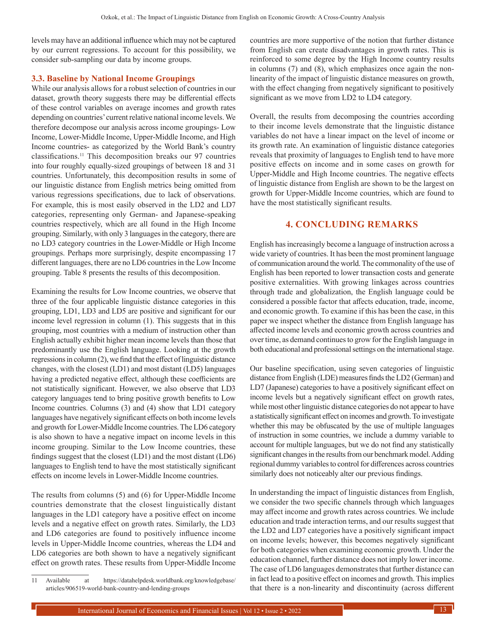levels may have an additional influence which may not be captured by our current regressions. To account for this possibility, we consider sub-sampling our data by income groups.

#### **3.3. Baseline by National Income Groupings**

While our analysis allows for a robust selection of countries in our dataset, growth theory suggests there may be differential effects of these control variables on average incomes and growth rates depending on countries' current relative national income levels. We therefore decompose our analysis across income groupings- Low Income, Lower-Middle Income, Upper-Middle Income, and High Income countries- as categorized by the World Bank's country classifications.11 This decomposition breaks our 97 countries into four roughly equally-sized groupings of between 18 and 31 countries. Unfortunately, this decomposition results in some of our linguistic distance from English metrics being omitted from various regressions specifications, due to lack of observations. For example, this is most easily observed in the LD2 and LD7 categories, representing only German- and Japanese-speaking countries respectively, which are all found in the High Income grouping. Similarly, with only 3 languages in the category, there are no LD3 category countries in the Lower-Middle or High Income groupings. Perhaps more surprisingly, despite encompassing 17 different languages, there are no LD6 countries in the Low Income grouping. Table 8 presents the results of this decomposition.

Examining the results for Low Income countries, we observe that three of the four applicable linguistic distance categories in this grouping, LD1, LD3 and LD5 are positive and significant for our income level regression in column (1). This suggests that in this grouping, most countries with a medium of instruction other than English actually exhibit higher mean income levels than those that predominantly use the English language. Looking at the growth regressions in column (2), we find that the effect of linguistic distance changes, with the closest (LD1) and most distant (LD5) languages having a predicted negative effect, although these coefficients are not statistically significant. However, we also observe that LD3 category languages tend to bring positive growth benefits to Low Income countries. Columns (3) and (4) show that LD1 category languages have negatively significant effects on both income levels and growth for Lower-Middle Income countries. The LD6 category is also shown to have a negative impact on income levels in this income grouping. Similar to the Low Income countries, these findings suggest that the closest (LD1) and the most distant (LD6) languages to English tend to have the most statistically significant effects on income levels in Lower-Middle Income countries.

The results from columns (5) and (6) for Upper-Middle Income countries demonstrate that the closest linguistically distant languages in the LD1 category have a positive effect on income levels and a negative effect on growth rates. Similarly, the LD3 and LD6 categories are found to positively influence income levels in Upper-Middle Income countries, whereas the LD4 and LD6 categories are both shown to have a negatively significant effect on growth rates. These results from Upper-Middle Income countries are more supportive of the notion that further distance from English can create disadvantages in growth rates. This is reinforced to some degree by the High Income country results in columns (7) and (8), which emphasizes once again the nonlinearity of the impact of linguistic distance measures on growth, with the effect changing from negatively significant to positively significant as we move from LD2 to LD4 category.

Overall, the results from decomposing the countries according to their income levels demonstrate that the linguistic distance variables do not have a linear impact on the level of income or its growth rate. An examination of linguistic distance categories reveals that proximity of languages to English tend to have more positive effects on income and in some cases on growth for Upper-Middle and High Income countries. The negative effects of linguistic distance from English are shown to be the largest on growth for Upper-Middle Income countries, which are found to have the most statistically significant results.

## **4. CONCLUDING REMARKS**

English has increasingly become a language of instruction across a wide variety of countries. It has been the most prominent language of communication around the world. The commonality of the use of English has been reported to lower transaction costs and generate positive externalities. With growing linkages across countries through trade and globalization, the English language could be considered a possible factor that affects education, trade, income, and economic growth. To examine if this has been the case, in this paper we inspect whether the distance from English language has affected income levels and economic growth across countries and over time, as demand continues to grow for the English language in both educational and professional settings on the international stage.

Our baseline specification, using seven categories of linguistic distance from English (LDE) measures finds the LD2 (German) and LD7 (Japanese) categories to have a positively significant effect on income levels but a negatively significant effect on growth rates, while most other linguistic distance categories do not appear to have a statistically significant effect on incomes and growth. To investigate whether this may be obfuscated by the use of multiple languages of instruction in some countries, we include a dummy variable to account for multiple languages, but we do not find any statistically significant changes in the results from our benchmark model. Adding regional dummy variables to control for differences across countries similarly does not noticeably alter our previous findings.

In understanding the impact of linguistic distances from English, we consider the two specific channels through which languages may affect income and growth rates across countries. We include education and trade interaction terms, and our results suggest that the LD2 and LD7 categories have a positively significant impact on income levels; however, this becomes negatively significant for both categories when examining economic growth. Under the education channel, further distance does not imply lower income. The case of LD6 languages demonstrates that further distance can in fact lead to a positive effect on incomes and growth. This implies that there is a non-linearity and discontinuity (across different

<sup>11</sup> Available at [https://datahelpdesk.worldbank.org/knowledgebase/](https://datahelpdesk.worldbank.org/knowledgebase/articles/906519-world-bank-country-and-lending-groups) [articles/906519-world-bank-country-and-lending-groups](https://datahelpdesk.worldbank.org/knowledgebase/articles/906519-world-bank-country-and-lending-groups)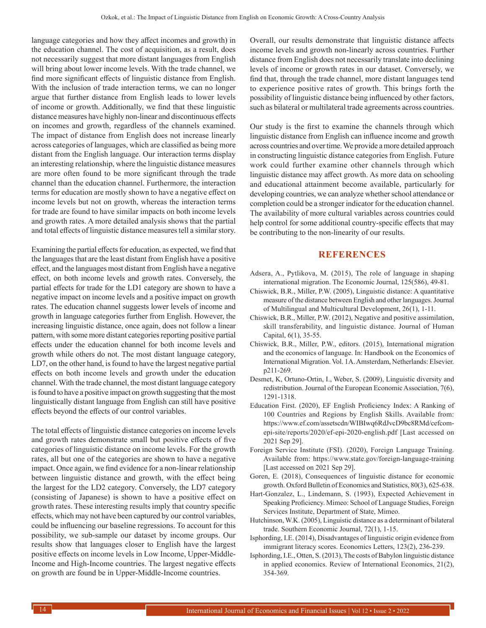language categories and how they affect incomes and growth) in the education channel. The cost of acquisition, as a result, does not necessarily suggest that more distant languages from English will bring about lower income levels. With the trade channel, we find more significant effects of linguistic distance from English. With the inclusion of trade interaction terms, we can no longer argue that further distance from English leads to lower levels of income or growth. Additionally, we find that these linguistic distance measures have highly non-linear and discontinuous effects on incomes and growth, regardless of the channels examined. The impact of distance from English does not increase linearly across categories of languages, which are classified as being more distant from the English language. Our interaction terms display an interesting relationship, where the linguistic distance measures are more often found to be more significant through the trade channel than the education channel. Furthermore, the interaction terms for education are mostly shown to have a negative effect on income levels but not on growth, whereas the interaction terms for trade are found to have similar impacts on both income levels and growth rates. A more detailed analysis shows that the partial and total effects of linguistic distance measures tell a similar story.

Examining the partial effects for education, as expected, we find that the languages that are the least distant from English have a positive effect, and the languages most distant from English have a negative effect, on both income levels and growth rates. Conversely, the partial effects for trade for the LD1 category are shown to have a negative impact on income levels and a positive impact on growth rates. The education channel suggests lower levels of income and growth in language categories further from English. However, the increasing linguistic distance, once again, does not follow a linear pattern, with some more distant categories reporting positive partial effects under the education channel for both income levels and growth while others do not. The most distant language category, LD7, on the other hand, is found to have the largest negative partial effects on both income levels and growth under the education channel. With the trade channel, the most distant language category is found to have a positive impact on growth suggesting that the most linguistically distant language from English can still have positive effects beyond the effects of our control variables.

The total effects of linguistic distance categories on income levels and growth rates demonstrate small but positive effects of five categories of linguistic distance on income levels. For the growth rates, all but one of the categories are shown to have a negative impact. Once again, we find evidence for a non-linear relationship between linguistic distance and growth, with the effect being the largest for the LD2 category. Conversely, the LD7 category (consisting of Japanese) is shown to have a positive effect on growth rates. These interesting results imply that country specific effects, which may not have been captured by our control variables, could be influencing our baseline regressions. To account for this possibility, we sub-sample our dataset by income groups. Our results show that languages closer to English have the largest positive effects on income levels in Low Income, Upper-Middle-Income and High-Income countries. The largest negative effects on growth are found be in Upper-Middle-Income countries.

Overall, our results demonstrate that linguistic distance affects income levels and growth non-linearly across countries. Further distance from English does not necessarily translate into declining levels of income or growth rates in our dataset. Conversely, we find that, through the trade channel, more distant languages tend to experience positive rates of growth. This brings forth the possibility of linguistic distance being influenced by other factors, such as bilateral or multilateral trade agreements across countries.

Our study is the first to examine the channels through which linguistic distance from English can influence income and growth across countries and over time. We provide a more detailed approach in constructing linguistic distance categories from English. Future work could further examine other channels through which linguistic distance may affect growth. As more data on schooling and educational attainment become available, particularly for developing countries, we can analyze whether school attendance or completion could be a stronger indicator for the education channel. The availability of more cultural variables across countries could help control for some additional country-specific effects that may be contributing to the non-linearity of our results.

### **REFERENCES**

- Adsera, A., Pytlikova, M. (2015), The role of language in shaping international migration. The Economic Journal, 125(586), 49-81.
- Chiswick, B.R., Miller, P.W. (2005), Linguistic distance: A quantitative measure of the distance between English and other languages. Journal of Multilingual and Multicultural Development, 26(1), 1-11.
- Chiswick, B.R., Miller, P.W. (2012), Negative and positive assimilation, skill transferability, and linguistic distance. Journal of Human Capital, 6(1), 35-55.
- Chiswick, B.R., Miller, P.W., editors. (2015), International migration and the economics of language. In: Handbook on the Economics of International Migration. Vol. 1A. Amsterdam, Netherlands: Elsevier. p211-269.
- Desmet, K, Ortuno-Ortin, I., Weber, S. (2009), Linguistic diversity and redistribution. Journal of the European Economic Association, 7(6), 1291-1318.
- Education First. (2020), EF English Proficiency Index: A Ranking of 100 Countries and Regions by English Skills. Available from: https://www.ef.com/assetscdn/WIBIwq6RdJvcD9bc8RMd/cefcomepi-site/reports/2020/ef-epi-2020-english.pdf [Last accessed on 2021 Sep 29].
- Foreign Service Institute (FSI). (2020), Foreign Language Training. Available from: https://www.state.gov/foreign-language-training [Last accessed on 2021 Sep 29].
- Goren, E. (2018), Consequences of linguistic distance for economic growth. Oxford Bulletin of Economics and Statistics, 80(3), 625-638.
- Hart-Gonzalez, L., Lindemann, S. (1993), Expected Achievement in Speaking Proficiency. Mimeo: School of Language Studies, Foreign Services Institute, Department of State, Mimeo.
- Hutchinson, W.K. (2005), Linguistic distance as a determinant of bilateral trade. Southern Economic Journal, 72(1), 1-15.
- Isphording, I.E. (2014), Disadvantages of linguistic origin evidence from immigrant literacy scores. Economics Letters, 123(2), 236-239.
- Isphording, I.E., Otten, S. (2013), The costs of Babylon linguistic distance in applied economics. Review of International Economics, 21(2), 354-369.